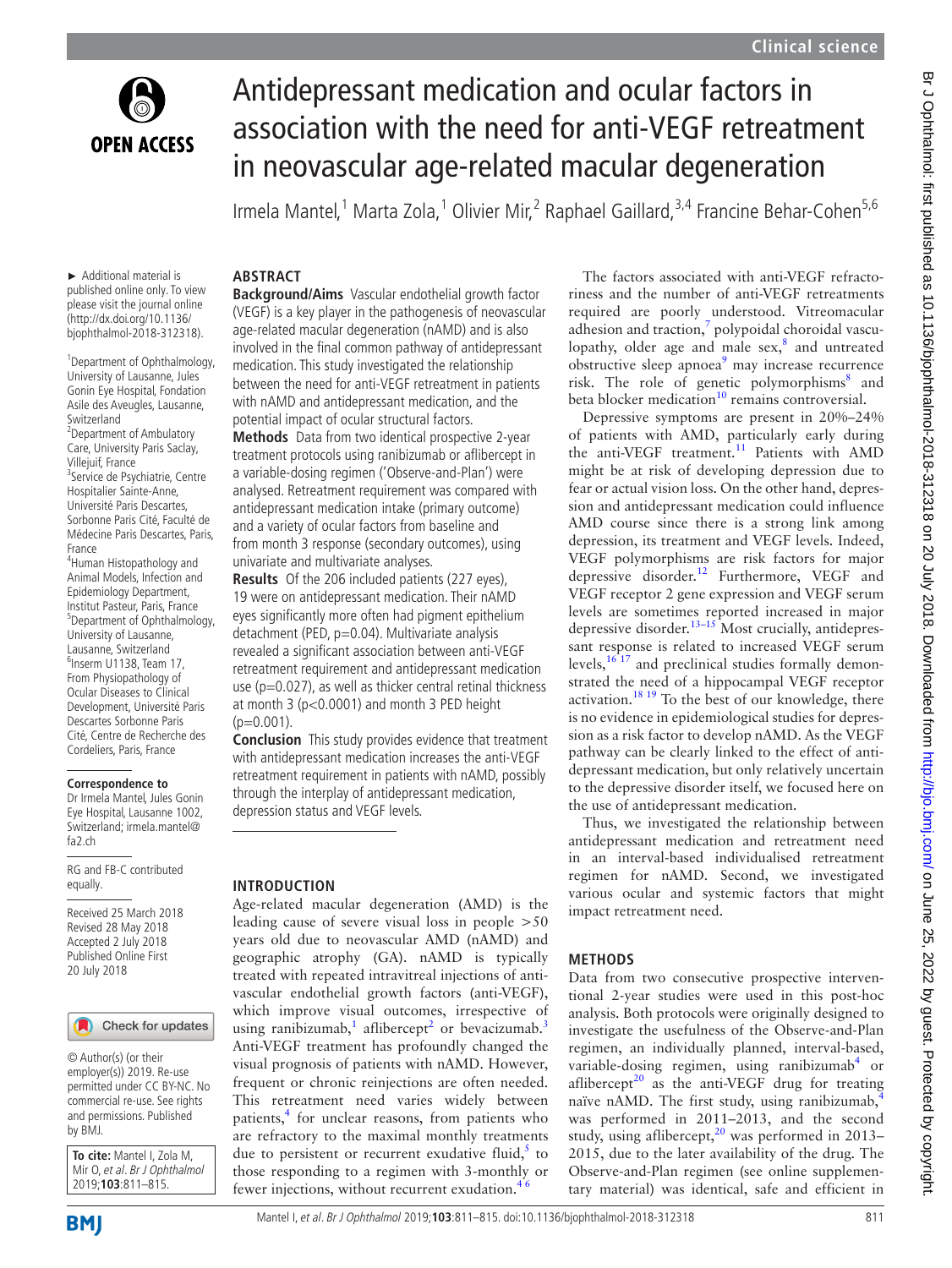

# Antidepressant medication and ocular factors in association with the need for anti-VEGF retreatment in neovascular age-related macular degeneration

Irmela Mantel,<sup>1</sup> Marta Zola,<sup>1</sup> Olivier Mir,<sup>2</sup> Raphael Gaillard,<sup>3,4</sup> Francine Behar-Cohen<sup>5,6</sup>

#### ► Additional material is published online only. To view please visit the journal online [\(http://dx.doi.org/10.1136/](http://dx.doi.org/10.1136/bjophthalmol-2018-312318) [bjophthalmol-2018-312318\)](http://dx.doi.org/10.1136/bjophthalmol-2018-312318).

**Abstract**

1 Department of Ophthalmology, University of Lausanne, Jules Gonin Eye Hospital, Fondation Asile des Aveugles, Lausanne, Switzerland <sup>2</sup> Department of Ambulatory Care, University Paris Saclay,

Villejuif, France <sup>3</sup>Service de Psychiatrie, Centre Hospitalier Sainte-Anne, Université Paris Descartes, Sorbonne Paris Cité, Faculté de Médecine Paris Descartes, Paris, France

4 Human Histopathology and Animal Models, Infection and Epidemiology Department, Institut Pasteur, Paris, France 5 Department of Ophthalmology, University of Lausanne, Lausanne, Switzerland 6 Inserm U1138, Team 17, From Physiopathology of Ocular Diseases to Clinical Development, Université Paris Descartes Sorbonne Paris Cité, Centre de Recherche des Cordeliers, Paris, France

#### **Correspondence to**

Dr Irmela Mantel, Jules Gonin Eye Hospital, Lausanne 1002, Switzerland; irmela.mantel@ fa2.ch

RG and FB-C contributed equally.

Received 25 March 2018 Revised 28 May 2018 Accepted 2 July 2018 Published Online First 20 July 2018

## Check for updates

© Author(s) (or their employer(s)) 2019. Re-use permitted under CC BY-NC. No commercial re-use. See rights and permissions. Published by BMJ.

**To cite:** Mantel I, Zola M, Mir O, et al. Br J Ophthalmol 2019;**103**:811–815.

**Background/Aims** Vascular endothelial growth factor (VEGF) is a key player in the pathogenesis of neovascular age-related macular degeneration (nAMD) and is also involved in the final common pathway of antidepressant medication. This study investigated the relationship between the need for anti-VEGF retreatment in patients with nAMD and antidepressant medication, and the potential impact of ocular structural factors.

**Methods** Data from two identical prospective 2-year treatment protocols using ranibizumab or aflibercept in a variable-dosing regimen ('Observe-and-Plan') were analysed. Retreatment requirement was compared with antidepressant medication intake (primary outcome) and a variety of ocular factors from baseline and from month 3 response (secondary outcomes), using univariate and multivariate analyses.

**Results** Of the 206 included patients (227 eyes), 19 were on antidepressant medication. Their nAMD eyes significantly more often had pigment epithelium detachment (PED, p=0.04). Multivariate analysis revealed a significant association between anti-VEGF retreatment requirement and antidepressant medication use ( $p=0.027$ ), as well as thicker central retinal thickness at month 3 (p<0.0001) and month 3 PED height  $(p=0.001)$ .

**Conclusion** This study provides evidence that treatment with antidepressant medication increases the anti-VEGF retreatment requirement in patients with nAMD, possibly through the interplay of antidepressant medication, depression status and VEGF levels.

## **Introduction**

Age-related macular degeneration (AMD) is the leading cause of severe visual loss in people >50 years old due to neovascular AMD (nAMD) and geographic atrophy (GA). nAMD is typically treated with repeated intravitreal injections of antivascular endothelial growth factors (anti-VEGF), which improve visual outcomes, irrespective of using ranibizumab,<sup>1</sup> aflibercept<sup>2</sup> or bevacizumab.<sup>[3](#page-3-2)</sup> Anti-VEGF treatment has profoundly changed the visual prognosis of patients with nAMD. However, frequent or chronic reinjections are often needed. This retreatment need varies widely between patients,<sup>4</sup> for unclear reasons, from patients who are refractory to the maximal monthly treatments due to persistent or recurrent exudative fluid, $5$  to those responding to a regimen with 3-monthly or fewer injections, without recurrent exudation.<sup>46</sup>

The factors associated with anti-VEGF refractoriness and the number of anti-VEGF retreatments required are poorly understood. Vitreomacular adhesion and traction, $\frac{7}{7}$  $\frac{7}{7}$  $\frac{7}{7}$  polypoidal choroidal vasculopathy, older age and male  $sex$ <sup>[8](#page-3-6)</sup>, and untreated obstructive sleep apnoea<sup>[9](#page-3-7)</sup> may increase recurrence risk. The role of genetic polymorphisms<sup>[8](#page-3-6)</sup> and beta blocker medication<sup>10</sup> remains controversial.

Depressive symptoms are present in 20%–24% of patients with AMD, particularly early during the anti-VEGF treatment.<sup>11</sup> Patients with AMD might be at risk of developing depression due to fear or actual vision loss. On the other hand, depression and antidepressant medication could influence AMD course since there is a strong link among depression, its treatment and VEGF levels. Indeed, VEGF polymorphisms are risk factors for major depressive disorder.<sup>12</sup> Furthermore, VEGF and VEGF receptor 2 gene expression and VEGF serum levels are sometimes reported increased in major depressive disorder.<sup>13–15</sup> Most crucially, antidepressant response is related to increased VEGF serum levels, $16\frac{1}{16}$  and preclinical studies formally demonstrated the need of a hippocampal VEGF receptor activation.<sup>[18 19](#page-3-13)</sup> To the best of our knowledge, there is no evidence in epidemiological studies for depression as a risk factor to develop nAMD. As the VEGF pathway can be clearly linked to the effect of antidepressant medication, but only relatively uncertain to the depressive disorder itself, we focused here on the use of antidepressant medication.

Thus, we investigated the relationship between antidepressant medication and retreatment need in an interval-based individualised retreatment regimen for nAMD. Second, we investigated various ocular and systemic factors that might impact retreatment need.

## **Methods**

Data from two consecutive prospective interventional 2-year studies were used in this post-hoc analysis. Both protocols were originally designed to investigate the usefulness of the Observe-and-Plan regimen, an individually planned, interval-based, variable-dosing regimen, using ranibizumab<sup>4</sup> or aflibercept<sup>20</sup> as the anti-VEGF drug for treating naïve nAMD. The first study, using ranibizumab,<sup>[4](#page-3-3)</sup> was performed in 2011–2013, and the second study, using aflibercept, $^{20}$  was performed in 2013– 2015, due to the later availability of the drug. The Observe-and-Plan regimen (see [online supplemen](https://dx.doi.org/10.1136/bjophthalmol-2018-312318)[tary material\)](https://dx.doi.org/10.1136/bjophthalmol-2018-312318) was identical, safe and efficient in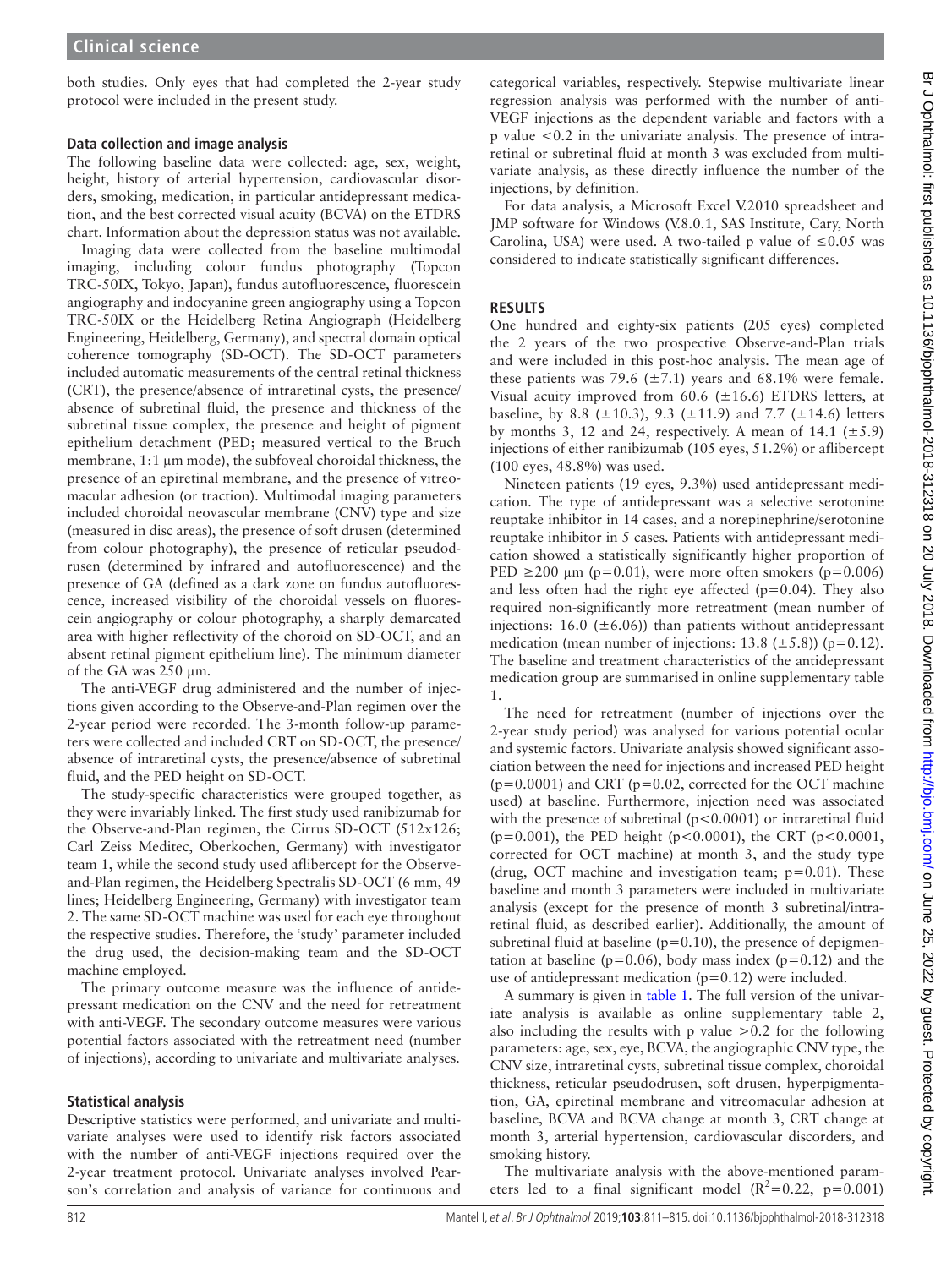both studies. Only eyes that had completed the 2-year study protocol were included in the present study.

## **Data collection and image analysis**

The following baseline data were collected: age, sex, weight, height, history of arterial hypertension, cardiovascular disorders, smoking, medication, in particular antidepressant medication, and the best corrected visual acuity (BCVA) on the ETDRS chart. Information about the depression status was not available.

Imaging data were collected from the baseline multimodal imaging, including colour fundus photography (Topcon TRC-50IX, Tokyo, Japan), fundus autofluorescence, fluorescein angiography and indocyanine green angiography using a Topcon TRC-50IX or the Heidelberg Retina Angiograph (Heidelberg Engineering, Heidelberg, Germany), and spectral domain optical coherence tomography (SD-OCT). The SD-OCT parameters included automatic measurements of the central retinal thickness (CRT), the presence/absence of intraretinal cysts, the presence/ absence of subretinal fluid, the presence and thickness of the subretinal tissue complex, the presence and height of pigment epithelium detachment (PED; measured vertical to the Bruch membrane, 1:1  $\mu$ m mode), the subfoveal choroidal thickness, the presence of an epiretinal membrane, and the presence of vitreomacular adhesion (or traction). Multimodal imaging parameters included choroidal neovascular membrane (CNV) type and size (measured in disc areas), the presence of soft drusen (determined from colour photography), the presence of reticular pseudodrusen (determined by infrared and autofluorescence) and the presence of GA (defined as a dark zone on fundus autofluorescence, increased visibility of the choroidal vessels on fluorescein angiography or colour photography, a sharply demarcated area with higher reflectivity of the choroid on SD-OCT, and an absent retinal pigment epithelium line). The minimum diameter of the GA was 250 µm.

The anti-VEGF drug administered and the number of injections given according to the Observe-and-Plan regimen over the 2-year period were recorded. The 3-month follow-up parameters were collected and included CRT on SD-OCT, the presence/ absence of intraretinal cysts, the presence/absence of subretinal fluid, and the PED height on SD-OCT.

The study-specific characteristics were grouped together, as they were invariably linked. The first study used ranibizumab for the Observe-and-Plan regimen, the Cirrus SD-OCT (512x126; Carl Zeiss Meditec, Oberkochen, Germany) with investigator team 1, while the second study used aflibercept for the Observeand-Plan regimen, the Heidelberg Spectralis SD-OCT (6 mm, 49 lines; Heidelberg Engineering, Germany) with investigator team 2. The same SD-OCT machine was used for each eye throughout the respective studies. Therefore, the 'study' parameter included the drug used, the decision-making team and the SD-OCT machine employed.

The primary outcome measure was the influence of antidepressant medication on the CNV and the need for retreatment with anti-VEGF. The secondary outcome measures were various potential factors associated with the retreatment need (number of injections), according to univariate and multivariate analyses.

## **Statistical analysis**

Descriptive statistics were performed, and univariate and multivariate analyses were used to identify risk factors associated with the number of anti-VEGF injections required over the 2-year treatment protocol. Univariate analyses involved Pearson's correlation and analysis of variance for continuous and

categorical variables, respectively. Stepwise multivariate linear regression analysis was performed with the number of anti-VEGF injections as the dependent variable and factors with a p value <0.2 in the univariate analysis. The presence of intraretinal or subretinal fluid at month 3 was excluded from multivariate analysis, as these directly influence the number of the injections, by definition.

For data analysis, a Microsoft Excel V.2010 spreadsheet and JMP software for Windows (V.8.0.1, SAS Institute, Cary, North Carolina, USA) were used. A two-tailed p value of  $\leq 0.05$  was considered to indicate statistically significant differences.

## **Results**

One hundred and eighty-six patients (205 eyes) completed the 2 years of the two prospective Observe-and-Plan trials and were included in this post-hoc analysis. The mean age of these patients was 79.6 ( $\pm$ 7.1) years and 68.1% were female. Visual acuity improved from  $60.6$  ( $\pm 16.6$ ) ETDRS letters, at baseline, by 8.8 ( $\pm$ 10.3), 9.3 ( $\pm$ 11.9) and 7.7 ( $\pm$ 14.6) letters by months 3, 12 and 24, respectively. A mean of 14.1 ( $\pm$ 5.9) injections of either ranibizumab (105 eyes, 51.2%) or aflibercept (100 eyes, 48.8%) was used.

Nineteen patients (19 eyes, 9.3%) used antidepressant medication. The type of antidepressant was a selective serotonine reuptake inhibitor in 14 cases, and a norepinephrine/serotonine reuptake inhibitor in 5 cases. Patients with antidepressant medication showed a statistically significantly higher proportion of PED  $\geq$ 200 µm (p=0.01), were more often smokers (p=0.006) and less often had the right eye affected  $(p=0.04)$ . They also required non-significantly more retreatment (mean number of injections: 16.0 ( $\pm$ 6.06)) than patients without antidepressant medication (mean number of injections: 13.8 ( $\pm$ 5.8)) (p=0.12). The baseline and treatment characteristics of the antidepressant medication group are summarised in [online supplementary table](https://dx.doi.org/10.1136/bjophthalmol-2018-312318) [1.](https://dx.doi.org/10.1136/bjophthalmol-2018-312318)

The need for retreatment (number of injections over the 2-year study period) was analysed for various potential ocular and systemic factors. Univariate analysis showed significant association between the need for injections and increased PED height  $(p=0.0001)$  and CRT ( $p=0.02$ , corrected for the OCT machine used) at baseline. Furthermore, injection need was associated with the presence of subretinal (p<0.0001) or intraretinal fluid (p=0.001), the PED height (p<0.0001), the CRT (p<0.0001, corrected for OCT machine) at month 3, and the study type (drug, OCT machine and investigation team; p=0.01). These baseline and month 3 parameters were included in multivariate analysis (except for the presence of month 3 subretinal/intraretinal fluid, as described earlier). Additionally, the amount of subretinal fluid at baseline ( $p=0.10$ ), the presence of depigmentation at baseline ( $p=0.06$ ), body mass index ( $p=0.12$ ) and the use of antidepressant medication  $(p=0.12)$  were included.

A summary is given in [table](#page-2-0) 1. The full version of the univariate analysis is available as [online supplementary table 2,](https://dx.doi.org/10.1136/bjophthalmol-2018-312318) also including the results with p value  $>0.2$  for the following parameters: age, sex, eye, BCVA, the angiographic CNV type, the CNV size, intraretinal cysts, subretinal tissue complex, choroidal thickness, reticular pseudodrusen, soft drusen, hyperpigmentation, GA, epiretinal membrane and vitreomacular adhesion at baseline, BCVA and BCVA change at month 3, CRT change at month 3, arterial hypertension, cardiovascular discorders, and smoking history.

The multivariate analysis with the above-mentioned parameters led to a final significant model  $(R^2=0.22, p=0.001)$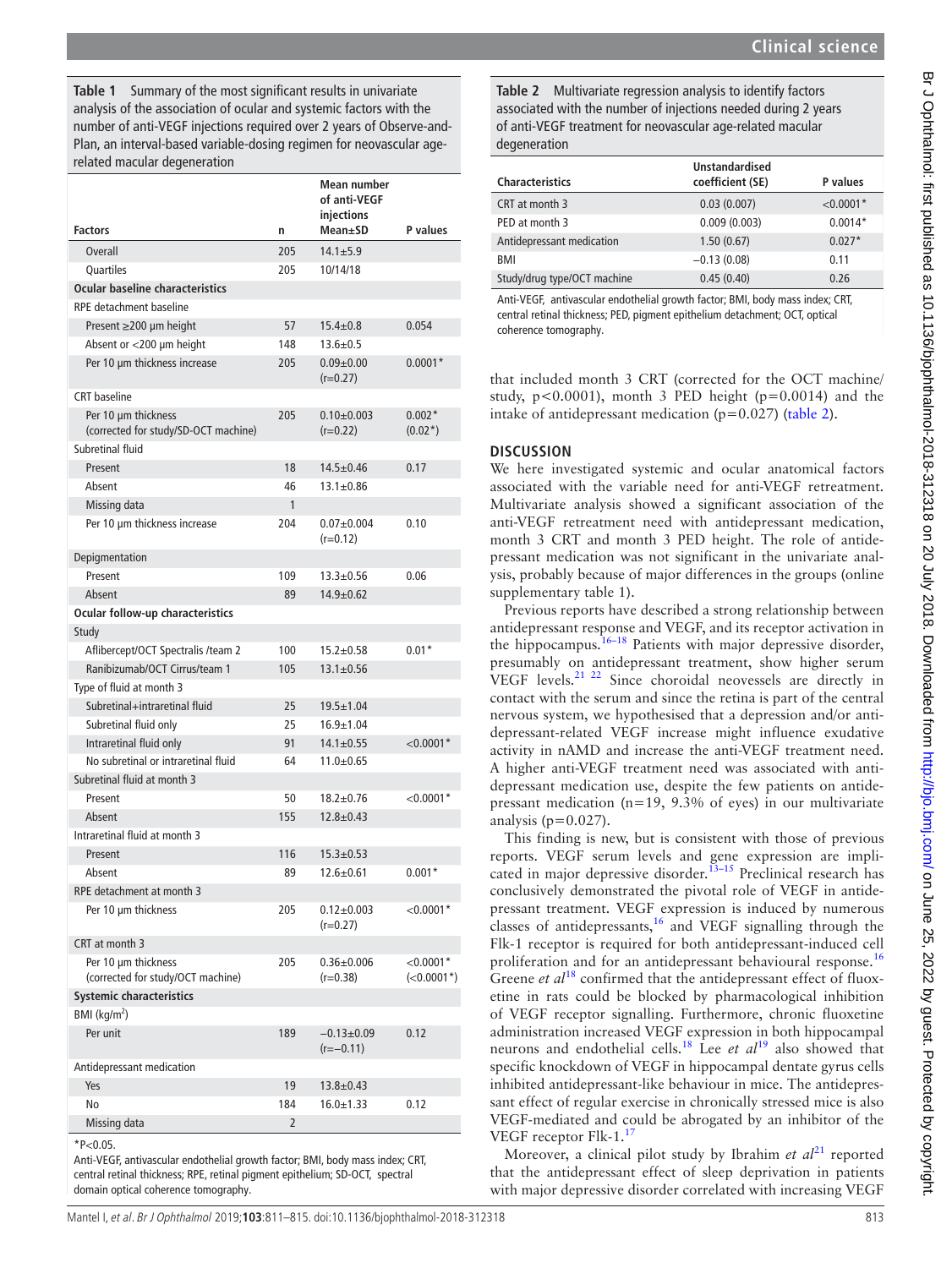<span id="page-2-0"></span>**Table 1** Summary of the most significant results in univariate analysis of the association of ocular and systemic factors with the number of anti-VEGF injections required over 2 years of Observe-and-Plan, an interval-based variable-dosing regimen for neovascular agerelated macular degeneration

|                                                             |     | Mean number<br>of anti-VEGF<br>injections |                             |
|-------------------------------------------------------------|-----|-------------------------------------------|-----------------------------|
| <b>Factors</b>                                              | n   | Mean±SD                                   | <b>P</b> values             |
| <b>Overall</b>                                              | 205 | $14.1 \pm 5.9$                            |                             |
| Quartiles                                                   | 205 | 10/14/18                                  |                             |
| Ocular baseline characteristics                             |     |                                           |                             |
| RPE detachment baseline                                     |     |                                           |                             |
| Present $\geq$ 200 µm height                                | 57  | $15.4 \pm 0.8$                            | 0.054                       |
| Absent or <200 µm height                                    | 148 | $13.6 \pm 0.5$                            |                             |
| Per 10 µm thickness increase                                | 205 | $0.09 + 0.00$<br>$(r=0.27)$               | $0.0001*$                   |
| <b>CRT</b> baseline                                         |     |                                           |                             |
| Per 10 µm thickness<br>(corrected for study/SD-OCT machine) | 205 | $0.10 + 0.003$<br>$(r=0.22)$              | $0.002*$<br>$(0.02^*)$      |
| Subretinal fluid                                            |     |                                           |                             |
| Present                                                     | 18  | $14.5 + 0.46$                             | 0.17                        |
| Absent                                                      | 46  | $13.1 \pm 0.86$                           |                             |
| Missing data                                                | 1   |                                           |                             |
| Per 10 µm thickness increase                                | 204 | $0.07 + 0.004$<br>$(r=0.12)$              | 0.10                        |
| Depigmentation                                              |     |                                           |                             |
| Present                                                     | 109 | $13.3 \pm 0.56$                           | 0.06                        |
| Absent                                                      | 89  | $14.9 + 0.62$                             |                             |
| Ocular follow-up characteristics                            |     |                                           |                             |
| Study                                                       |     |                                           |                             |
| Aflibercept/OCT Spectralis /team 2                          | 100 | $15.2 + 0.58$                             | $0.01*$                     |
| Ranibizumab/OCT Cirrus/team 1                               | 105 | $13.1 \pm 0.56$                           |                             |
| Type of fluid at month 3                                    |     |                                           |                             |
| Subretinal+intraretinal fluid                               | 25  | $19.5 \pm 1.04$                           |                             |
| Subretinal fluid only                                       | 25  | $16.9 + 1.04$                             |                             |
| Intraretinal fluid only                                     | 91  | $14.1 \pm 0.55$                           | ${<}0.0001*$                |
| No subretinal or intraretinal fluid                         | 64  | $11.0 + 0.65$                             |                             |
| Subretinal fluid at month 3                                 |     |                                           |                             |
| Present                                                     | 50  | $18.2 + 0.76$                             | ${<}0.0001*$                |
| Absent                                                      | 155 | $12.8 + 0.43$                             |                             |
| Intraretinal fluid at month 3                               |     |                                           |                             |
| Present                                                     | 116 | $15.3 + 0.53$                             |                             |
| Absent                                                      | 89  | $12.6 \pm 0.61$                           | $0.001*$                    |
| RPE detachment at month 3                                   |     |                                           |                             |
| Per 10 µm thickness                                         | 205 | $0.12{\pm}0.003$<br>$(r=0.27)$            | ${<}0.0001*$                |
| CRT at month 3                                              |     |                                           |                             |
| Per 10 um thickness<br>(corrected for study/OCT machine)    | 205 | $0.36 + 0.006$<br>(r=0.38)                | $<$ 0.0001*<br>$(<0.0001*)$ |
| <b>Systemic characteristics</b>                             |     |                                           |                             |
| BMI ( $\text{kg/m}^2$ )                                     |     |                                           |                             |
| Per unit                                                    | 189 | $-0.13 + 0.09$<br>$(r=-0.11)$             | 0.12                        |
| Antidepressant medication                                   |     |                                           |                             |
| Yes                                                         | 19  | $13.8 \pm 0.43$                           |                             |
| No                                                          | 184 | $16.0 \pm 1.33$                           | 0.12                        |
| Missing data                                                | 2   |                                           |                             |

 $*P<0.05$ 

Anti-VEGF, antivascular endothelial growth factor; BMI, body mass index; CRT, central retinal thickness; RPE, retinal pigment epithelium; SD-OCT, spectral domain optical coherence tomography.

<span id="page-2-1"></span>**Table 2** Multivariate regression analysis to identify factors associated with the number of injections needed during 2 years of anti-VEGF treatment for neovascular age-related macular degeneration

|                             | <b>Unstandardised</b> |             |
|-----------------------------|-----------------------|-------------|
| <b>Characteristics</b>      | coefficient (SE)      | P values    |
| CRT at month 3              | 0.03(0.007)           | $< 0.0001*$ |
| PED at month 3              | 0.009(0.003)          | $0.0014*$   |
| Antidepressant medication   | 1.50(0.67)            | $0.027*$    |
| BMI                         | $-0.13(0.08)$         | 0.11        |
| Study/drug type/OCT machine | 0.45(0.40)            | 0.26        |

Anti-VEGF, antivascular endothelial growth factor; BMI, body mass index; CRT, central retinal thickness; PED, pigment epithelium detachment; OCT, optical coherence tomography.

that included month 3 CRT (corrected for the OCT machine/ study,  $p < 0.0001$ ), month 3 PED height ( $p = 0.0014$ ) and the intake of antidepressant medication ( $p=0.027$ ) ([table](#page-2-1) 2).

## **Discussion**

We here investigated systemic and ocular anatomical factors associated with the variable need for anti-VEGF retreatment. Multivariate analysis showed a significant association of the anti-VEGF retreatment need with antidepressant medication, month 3 CRT and month 3 PED height. The role of antidepressant medication was not significant in the univariate analysis, probably because of major differences in the groups [\(online](https://dx.doi.org/10.1136/bjophthalmol-2018-312318) [supplementary table 1\)](https://dx.doi.org/10.1136/bjophthalmol-2018-312318).

Previous reports have described a strong relationship between antidepressant response and VEGF, and its receptor activation in the hippocampus.<sup>16–18</sup> Patients with major depressive disorder, presumably on antidepressant treatment, show higher serum VEGF levels.[21 22](#page-4-1) Since choroidal neovessels are directly in contact with the serum and since the retina is part of the central nervous system, we hypothesised that a depression and/or antidepressant-related VEGF increase might influence exudative activity in nAMD and increase the anti-VEGF treatment need. A higher anti-VEGF treatment need was associated with antidepressant medication use, despite the few patients on antidepressant medication (n=19, 9.3% of eyes) in our multivariate analysis ( $p=0.027$ ).

This finding is new, but is consistent with those of previous reports. VEGF serum levels and gene expression are implicated in major depressive disorder.<sup>13-15</sup> Preclinical research has conclusively demonstrated the pivotal role of VEGF in antidepressant treatment. VEGF expression is induced by numerous classes of antidepressants, $16$  and VEGF signalling through the Flk-1 receptor is required for both antidepressant-induced cell proliferation and for an antidepressant behavioural response.<sup>[16](#page-3-12)</sup> Greene *et al*[18](#page-3-13) confirmed that the antidepressant effect of fluoxetine in rats could be blocked by pharmacological inhibition of VEGF receptor signalling. Furthermore, chronic fluoxetine administration increased VEGF expression in both hippocampal neurons and endothelial cells.[18](#page-3-13) Lee *et al*[19](#page-4-2) also showed that specific knockdown of VEGF in hippocampal dentate gyrus cells inhibited antidepressant-like behaviour in mice. The antidepressant effect of regular exercise in chronically stressed mice is also VEGF-mediated and could be abrogated by an inhibitor of the VEGF receptor Flk-1.<sup>[17](#page-3-14)</sup>

Moreover, a clinical pilot study by Ibrahim *et al*<sup>[21](#page-4-1)</sup> reported that the antidepressant effect of sleep deprivation in patients with major depressive disorder correlated with increasing VEGF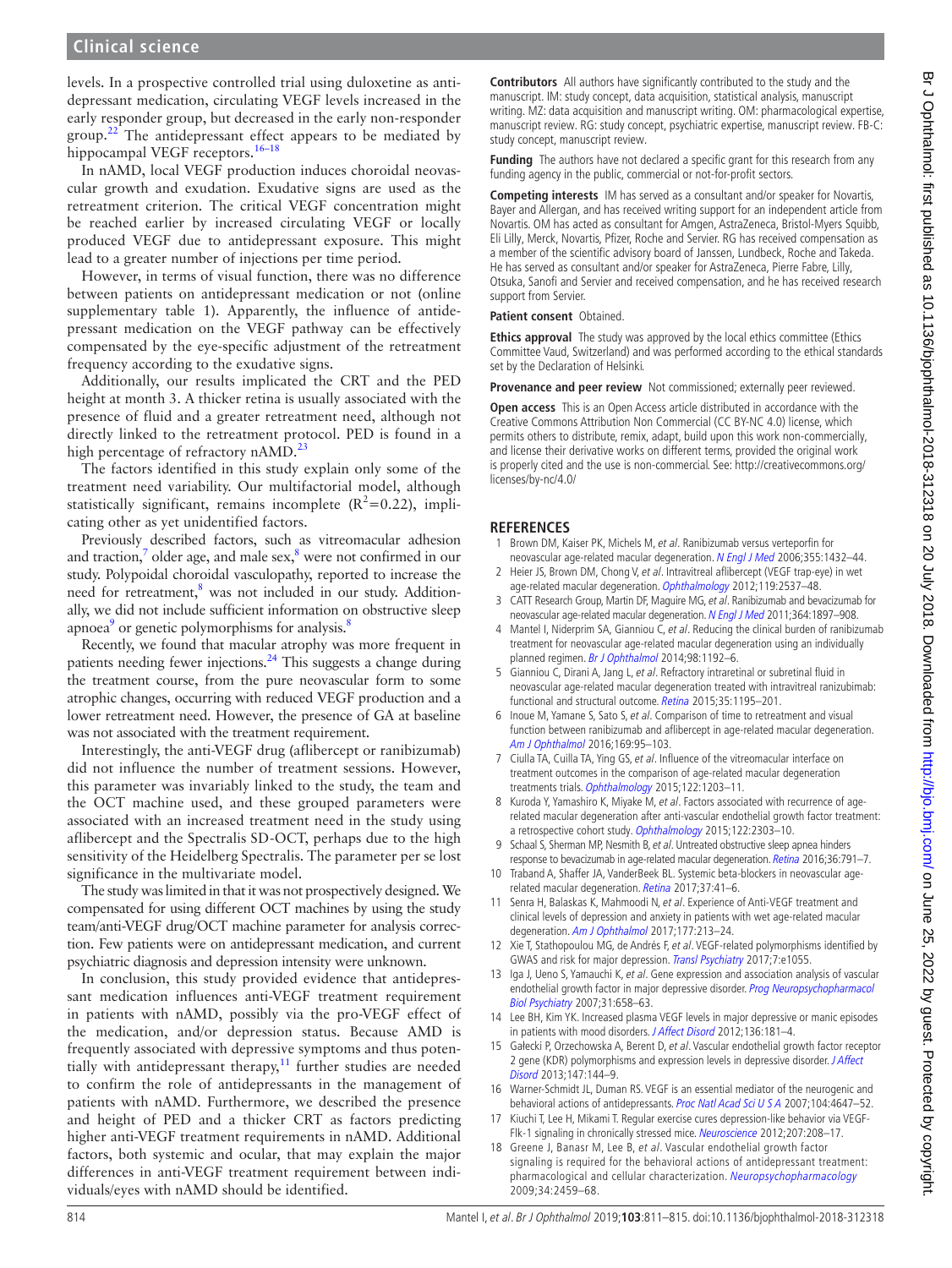## **Clinical science**

levels. In a prospective controlled trial using duloxetine as antidepressant medication, circulating VEGF levels increased in the early responder group, but decreased in the early non-responder group.<sup>[22](#page-4-3)</sup> The antidepressant effect appears to be mediated by hippocampal VEGF receptors.<sup>16-18</sup>

In nAMD, local VEGF production induces choroidal neovascular growth and exudation. Exudative signs are used as the retreatment criterion. The critical VEGF concentration might be reached earlier by increased circulating VEGF or locally produced VEGF due to antidepressant exposure. This might lead to a greater number of injections per time period.

However, in terms of visual function, there was no difference between patients on antidepressant medication or not [\(online](https://dx.doi.org/10.1136/bjophthalmol-2018-312318)  [supplementary table 1](https://dx.doi.org/10.1136/bjophthalmol-2018-312318)). Apparently, the influence of antidepressant medication on the VEGF pathway can be effectively compensated by the eye-specific adjustment of the retreatment frequency according to the exudative signs.

Additionally, our results implicated the CRT and the PED height at month 3. A thicker retina is usually associated with the presence of fluid and a greater retreatment need, although not directly linked to the retreatment protocol. PED is found in a high percentage of refractory  $nAMD.<sup>23</sup>$ 

The factors identified in this study explain only some of the treatment need variability. Our multifactorial model, although statistically significant, remains incomplete  $(R^2=0.22)$ , implicating other as yet unidentified factors.

Previously described factors, such as vitreomacular adhesion and traction,<sup>7</sup> older age, and male sex, ${}^{8}$  were not confirmed in our study. Polypoidal choroidal vasculopathy, reported to increase the need for retreatment,<sup>8</sup> was not included in our study. Additionally, we did not include sufficient information on obstructive sleep apnoea<sup>[9](#page-3-7)</sup> or genetic polymorphisms for analysis.<sup>[8](#page-3-6)</sup>

Recently, we found that macular atrophy was more frequent in patients needing fewer injections.<sup>24</sup> This suggests a change during the treatment course, from the pure neovascular form to some atrophic changes, occurring with reduced VEGF production and a lower retreatment need. However, the presence of GA at baseline was not associated with the treatment requirement.

Interestingly, the anti-VEGF drug (aflibercept or ranibizumab) did not influence the number of treatment sessions. However, this parameter was invariably linked to the study, the team and the OCT machine used, and these grouped parameters were associated with an increased treatment need in the study using aflibercept and the Spectralis SD-OCT, perhaps due to the high sensitivity of the Heidelberg Spectralis. The parameter per se lost significance in the multivariate model.

The study was limited in that it was not prospectively designed. We compensated for using different OCT machines by using the study team/anti-VEGF drug/OCT machine parameter for analysis correction. Few patients were on antidepressant medication, and current psychiatric diagnosis and depression intensity were unknown.

In conclusion, this study provided evidence that antidepressant medication influences anti-VEGF treatment requirement in patients with nAMD, possibly via the pro-VEGF effect of the medication, and/or depression status. Because AMD is frequently associated with depressive symptoms and thus potentially with antidepressant therapy, $11$  further studies are needed to confirm the role of antidepressants in the management of patients with nAMD. Furthermore, we described the presence and height of PED and a thicker CRT as factors predicting higher anti-VEGF treatment requirements in nAMD. Additional factors, both systemic and ocular, that may explain the major differences in anti-VEGF treatment requirement between individuals/eyes with nAMD should be identified.

**Contributors** All authors have significantly contributed to the study and the manuscript. IM: study concept, data acquisition, statistical analysis, manuscript writing. MZ: data acquisition and manuscript writing. OM: pharmacological expertise, manuscript review. RG: study concept, psychiatric expertise, manuscript review. FB-C: study concept, manuscript review.

**Funding** The authors have not declared a specific grant for this research from any funding agency in the public, commercial or not-for-profit sectors.

**Competing interests** IM has served as a consultant and/or speaker for Novartis, Bayer and Allergan, and has received writing support for an independent article from Novartis. OM has acted as consultant for Amgen, AstraZeneca, Bristol-Myers Squibb, Eli Lilly, Merck, Novartis, Pfizer, Roche and Servier. RG has received compensation as a member of the scientific advisory board of Janssen, Lundbeck, Roche and Takeda. He has served as consultant and/or speaker for AstraZeneca, Pierre Fabre, Lilly, Otsuka, Sanofi and Servier and received compensation, and he has received research support from Servier.

#### **Patient consent** Obtained.

**Ethics approval** The study was approved by the local ethics committee (Ethics Committee Vaud, Switzerland) and was performed according to the ethical standards set by the Declaration of Helsinki.

**Provenance and peer review** Not commissioned; externally peer reviewed.

**Open access** This is an Open Access article distributed in accordance with the Creative Commons Attribution Non Commercial (CC BY-NC 4.0) license, which permits others to distribute, remix, adapt, build upon this work non-commercially, and license their derivative works on different terms, provided the original work is properly cited and the use is non-commercial. See: [http://creativecommons.org/](http://creativecommons.org/licenses/by-nc/4.0/) [licenses/by-nc/4.0/](http://creativecommons.org/licenses/by-nc/4.0/)

#### **References**

- <span id="page-3-0"></span>1 Brown DM, Kaiser PK, Michels M, et al. Ranibizumab versus verteporfin for neovascular age-related macular degeneration. [N Engl J Med](http://dx.doi.org/10.1056/NEJMoa062655) 2006;355:1432-44.
- <span id="page-3-1"></span>2 Heier JS, Brown DM, Chong V, et al. Intravitreal aflibercept (VEGF trap-eye) in wet age-related macular degeneration. [Ophthalmology](http://dx.doi.org/10.1016/j.ophtha.2012.09.006) 2012;119:2537-48.
- <span id="page-3-2"></span>3 CATT Research Group, Martin DF, Maguire MG, et al. Ranibizumab and bevacizumab for neovascular age-related macular degeneration. [N Engl J Med](http://dx.doi.org/10.1056/NEJMoa1102673) 2011;364:1897-908.
- <span id="page-3-3"></span>4 Mantel I, Niderprim SA, Gianniou C, et al. Reducing the clinical burden of ranibizumab treatment for neovascular age-related macular degeneration using an individually planned regimen. [Br J Ophthalmol](http://dx.doi.org/10.1136/bjophthalmol-2013-304556) 2014;98:1192-6.
- <span id="page-3-4"></span>5 Gianniou C, Dirani A, Jang L, et al. Refractory intraretinal or subretinal fluid in neovascular age-related macular degeneration treated with intravitreal ranizubimab: functional and structural outcome. [Retina](http://dx.doi.org/10.1097/IAE.0000000000000465) 2015;35:1195–201.
- 6 Inoue M, Yamane S, Sato S, et al. Comparison of time to retreatment and visual function between ranibizumab and aflibercept in age-related macular degeneration. [Am J Ophthalmol](http://dx.doi.org/10.1016/j.ajo.2016.06.021) 2016;169:95–103.
- <span id="page-3-5"></span>7 Ciulla TA, Cuilla TA, Ying GS, et al. Influence of the vitreomacular interface on treatment outcomes in the comparison of age-related macular degeneration treatments trials. [Ophthalmology](http://dx.doi.org/10.1016/j.ophtha.2015.02.031) 2015;122:1203–11.
- <span id="page-3-6"></span>8 Kuroda Y, Yamashiro K, Miyake M, et al. Factors associated with recurrence of agerelated macular degeneration after anti-vascular endothelial growth factor treatment: a retrospective cohort study. [Ophthalmology](http://dx.doi.org/10.1016/j.ophtha.2015.06.053) 2015;122:2303-10.
- <span id="page-3-7"></span>9 Schaal S, Sherman MP, Nesmith B, et al. Untreated obstructive sleep apnea hinders response to bevacizumab in age-related macular degeneration. [Retina](http://dx.doi.org/10.1097/IAE.0000000000000981) 2016;36:791–7.
- <span id="page-3-8"></span>10 Traband A, Shaffer JA, VanderBeek BL. Systemic beta-blockers in neovascular agerelated macular degeneration. [Retina](http://dx.doi.org/10.1097/IAE.0000000000001226) 2017;37:41–6.
- <span id="page-3-9"></span>11 Senra H, Balaskas K, Mahmoodi N, et al. Experience of Anti-VEGF treatment and clinical levels of depression and anxiety in patients with wet age-related macular degeneration. [Am J Ophthalmol](http://dx.doi.org/10.1016/j.ajo.2017.03.005) 2017;177:213–24.
- <span id="page-3-10"></span>12 Xie T, Stathopoulou MG, de Andrés F, et al. VEGF-related polymorphisms identified by GWAS and risk for major depression. [Transl Psychiatry](http://dx.doi.org/10.1038/tp.2017.36) 2017;7:e1055.
- <span id="page-3-11"></span>13 Iga J, Ueno S, Yamauchi K, et al. Gene expression and association analysis of vascular endothelial growth factor in major depressive disorder. Prog Neuropsychopharmacol [Biol Psychiatry](http://dx.doi.org/10.1016/j.pnpbp.2006.12.011) 2007;31:658–63.
- 14 Lee BH, Kim YK. Increased plasma VEGF levels in major depressive or manic episodes in patients with mood disorders. *[J Affect Disord](http://dx.doi.org/10.1016/j.jad.2011.07.021)* 2012;136:181-4.
- 15 Gałecki P, Orzechowska A, Berent D, et al. Vascular endothelial growth factor receptor 2 gene (KDR) polymorphisms and expression levels in depressive disorder. J Affect [Disord](http://dx.doi.org/10.1016/j.jad.2012.10.025) 2013;147:144–9.
- <span id="page-3-12"></span>16 Warner-Schmidt JL, Duman RS. VEGF is an essential mediator of the neurogenic and behavioral actions of antidepressants. [Proc Natl Acad Sci U S A](http://dx.doi.org/10.1073/pnas.0610282104) 2007;104:4647–52.
- <span id="page-3-14"></span>17 Kiuchi T, Lee H, Mikami T. Regular exercise cures depression-like behavior via VEGF-Flk-1 signaling in chronically stressed mice. [Neuroscience](http://dx.doi.org/10.1016/j.neuroscience.2012.01.023) 2012;207:208-17.
- <span id="page-3-13"></span>18 Greene J, Banasr M, Lee B, et al. Vascular endothelial growth factor signaling is required for the behavioral actions of antidepressant treatment: pharmacological and cellular characterization. [Neuropsychopharmacology](http://dx.doi.org/10.1038/npp.2009.68) 2009;34:2459–68.